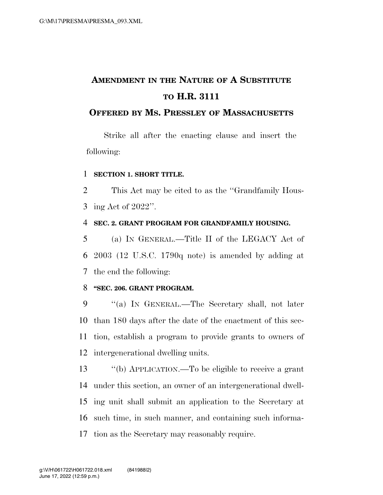# **AMENDMENT IN THE NATURE OF A SUBSTITUTE TO H.R. 3111**

### **OFFERED BY MS. PRESSLEY OF MASSACHUSETTS**

Strike all after the enacting clause and insert the following:

#### **SECTION 1. SHORT TITLE.**

 This Act may be cited to as the ''Grandfamily Hous-ing Act of 2022''.

#### **SEC. 2. GRANT PROGRAM FOR GRANDFAMILY HOUSING.**

 (a) IN GENERAL.—Title II of the LEGACY Act of 2003 (12 U.S.C. 1790q note) is amended by adding at the end the following:

### **''SEC. 206. GRANT PROGRAM.**

 ''(a) IN GENERAL.—The Secretary shall, not later than 180 days after the date of the enactment of this sec- tion, establish a program to provide grants to owners of intergenerational dwelling units.

 ''(b) APPLICATION.—To be eligible to receive a grant under this section, an owner of an intergenerational dwell- ing unit shall submit an application to the Secretary at such time, in such manner, and containing such informa-tion as the Secretary may reasonably require.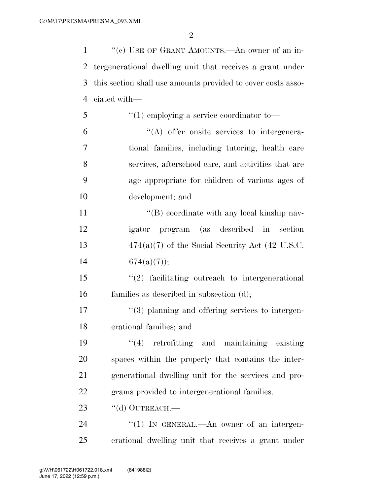$\mathfrak{D}$ 

 ''(c) USE OF GRANT AMOUNTS.—An owner of an in- tergenerational dwelling unit that receives a grant under this section shall use amounts provided to cover costs asso- ciated with— ''(1) employing a service coordinator to—  $(4)$  offer onsite services to intergenera-tional families, including tutoring, health care

 services, afterschool care, and activities that are age appropriate for children of various ages of development; and

11 ''(B) coordinate with any local kinship nav- igator program (as described in section 474(a)(7) of the Social Security Act (42 U.S.C.  $674(a)(7)$ ;

 ''(2) facilitating outreach to intergenerational families as described in subsection (d);

17  $\frac{17}{2}$   $\frac{17}{2}$   $\frac{17}{2}$   $\frac{17}{2}$   $\frac{17}{2}$   $\frac{17}{2}$   $\frac{17}{2}$   $\frac{17}{2}$   $\frac{17}{2}$   $\frac{17}{2}$   $\frac{17}{2}$   $\frac{17}{2}$   $\frac{17}{2}$   $\frac{17}{2}$   $\frac{17}{2}$   $\frac{17}{2}$   $\frac{17}{2}$   $\frac{17}{2}$   $\frac{17}{2}$   $\frac{17}{2}$ erational families; and

 ''(4) retrofitting and maintaining existing spaces within the property that contains the inter- generational dwelling unit for the services and pro-grams provided to intergenerational families.

23 "(d) OUTREACH.—

24 "(1) In GENERAL.—An owner of an intergen-erational dwelling unit that receives a grant under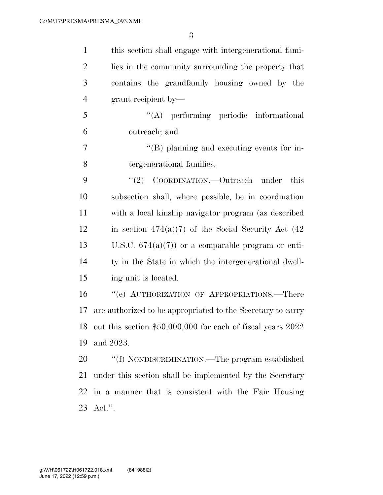| $\mathbf{1}$   | this section shall engage with intergenerational fami-         |
|----------------|----------------------------------------------------------------|
| $\overline{2}$ | lies in the community surrounding the property that            |
| 3              | contains the grandfamily housing owned by the                  |
| $\overline{4}$ | grant recipient by—                                            |
| 5              | "(A) performing periodic informational                         |
| 6              | outreach; and                                                  |
| 7              | $\lq\lq (B)$ planning and executing events for in-             |
| 8              | tergenerational families.                                      |
| 9              | COORDINATION.—Outreach under<br>(2)<br>this                    |
| 10             | subsection shall, where possible, be in coordination           |
| 11             | with a local kinship navigator program (as described           |
| 12             | in section $474(a)(7)$ of the Social Security Act (42)         |
| 13             | U.S.C. $674(a)(7)$ or a comparable program or enti-            |
| 14             | ty in the State in which the intergenerational dwell-          |
| 15             | ing unit is located.                                           |
| 16             | "(e) AUTHORIZATION OF APPROPRIATIONS.—There                    |
| 17             | are authorized to be appropriated to the Secretary to carry    |
| 18             | out this section $$50,000,000$ for each of fiscal years $2022$ |
| 19             | and 2023.                                                      |
| 20             | "(f) NONDISCRIMINATION.—The program established                |
| 21             | under this section shall be implemented by the Secretary       |
| 22             | in a manner that is consistent with the Fair Housing           |
| 23             | $Act."$ .                                                      |